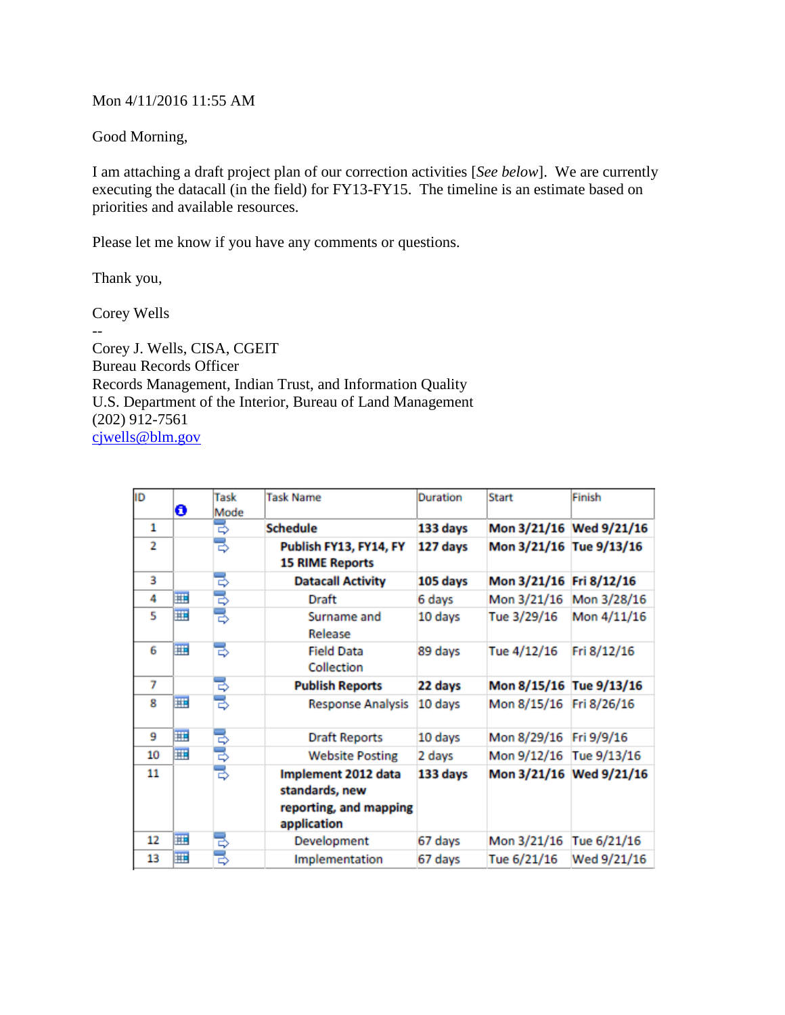## Mon 4/11/2016 11:55 AM

Good Morning,

I am attaching a draft project plan of our correction activities [*See below*]. We are currently executing the datacall (in the field) for FY13-FY15. The timeline is an estimate based on priorities and available resources.

Please let me know if you have any comments or questions.

Thank you,

Corey Wells

-- Corey J. Wells, CISA, CGEIT Bureau Records Officer Records Management, Indian Trust, and Information Quality U.S. Department of the Interior, Bureau of Land Management  $(202)$  912-7561 [cjwells@blm.gov](mailto:cjwells@blm.gov)

| ID             | O | Task<br>Mode | <b>Task Name</b>                                                               | <b>Duration</b> | <b>Start</b>            | Finish                  |
|----------------|---|--------------|--------------------------------------------------------------------------------|-----------------|-------------------------|-------------------------|
| 1              |   | ₿            | <b>Schedule</b>                                                                | 133 days        |                         | Mon 3/21/16 Wed 9/21/16 |
| $\overline{2}$ |   | ₹            | Publish FY13, FY14, FY<br><b>15 RIME Reports</b>                               | 127 days        | Mon 3/21/16 Tue 9/13/16 |                         |
| 3              |   | ₿            | <b>Datacall Activity</b>                                                       | 105 days        | Mon 3/21/16             | Fri 8/12/16             |
| 4              | 亜 | ₹            | Draft                                                                          | 6 days          | Mon 3/21/16             | Mon 3/28/16             |
| 5              | 亜 | B            | Surname and<br>Release                                                         | 10 days         | Tue 3/29/16             | Mon 4/11/16             |
| 6              | W | ₹            | <b>Field Data</b><br>Collection                                                | 89 days         | Tue 4/12/16             | Fri 8/12/16             |
| 7              |   | ₹            | <b>Publish Reports</b>                                                         | 22 days         | Mon 8/15/16             | Tue 9/13/16             |
| 8              | 亜 | ₹            | <b>Response Analysis</b>                                                       | 10 days         | Mon 8/15/16             | Fri 8/26/16             |
| 9              | 亜 | ₹            | <b>Draft Reports</b>                                                           | 10 days         | Mon 8/29/16             | Fri 9/9/16              |
| 10             | m | ₿            | <b>Website Posting</b>                                                         | 2 days          | Mon 9/12/16             | Tue 9/13/16             |
| 11             |   | ₹            | Implement 2012 data<br>standards, new<br>reporting, and mapping<br>application | 133 days        |                         | Mon 3/21/16 Wed 9/21/16 |
| 12             | 亜 | ₿            | Development                                                                    | 67 days         | Mon 3/21/16             | Tue 6/21/16             |
| 13             | 亜 | ಕ            | Implementation                                                                 | 67 days         | Tue 6/21/16             | Wed 9/21/16             |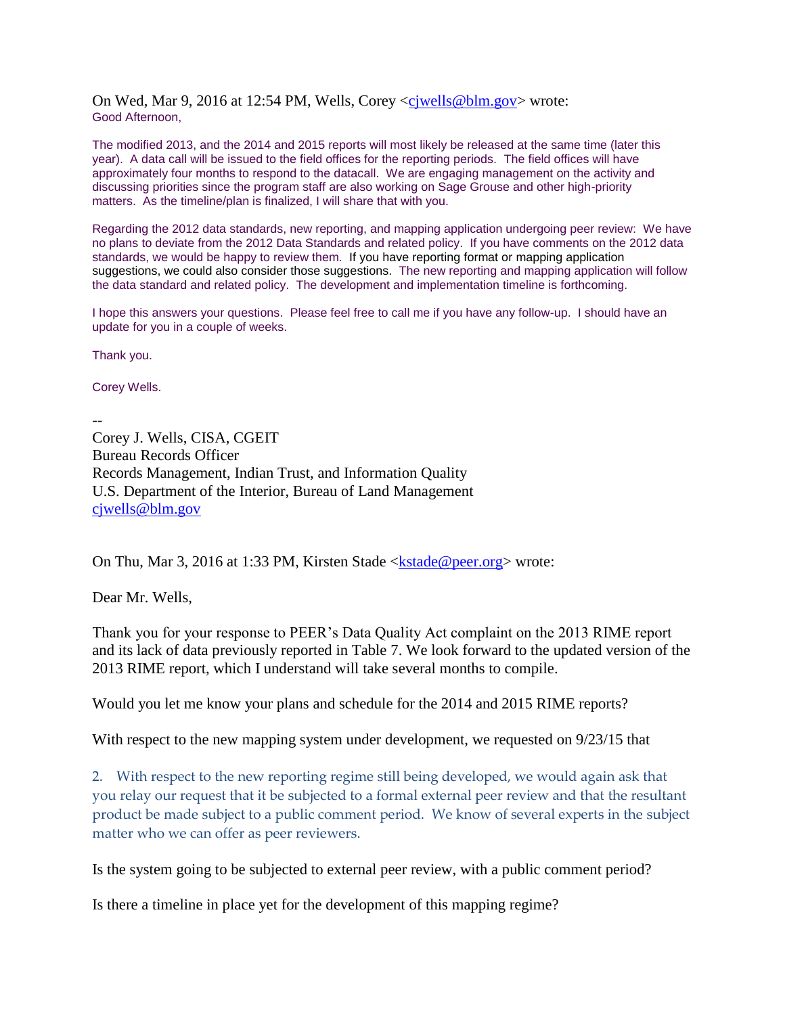On Wed, Mar 9, 2016 at 12:54 PM, Wells, Corey [<cjwells@blm.gov>](mailto:cjwells@blm.gov) wrote: Good Afternoon,

The modified 2013, and the 2014 and 2015 reports will most likely be released at the same time (later this year). A data call will be issued to the field offices for the reporting periods. The field offices will have approximately four months to respond to the datacall. We are engaging management on the activity and discussing priorities since the program staff are also working on Sage Grouse and other high-priority matters. As the timeline/plan is finalized, I will share that with you.

Regarding the 2012 data standards, new reporting, and mapping application undergoing peer review: We have no plans to deviate from the 2012 Data Standards and related policy. If you have comments on the 2012 data standards, we would be happy to review them. If you have reporting format or mapping application suggestions, we could also consider those suggestions. The new reporting and mapping application will follow the data standard and related policy. The development and implementation timeline is forthcoming.

I hope this answers your questions. Please feel free to call me if you have any follow-up. I should have an update for you in a couple of weeks.

Thank you.

Corey Wells.

-- Corey J. Wells, CISA, CGEIT Bureau Records Officer Records Management, Indian Trust, and Information Quality U.S. Department of the Interior, Bureau of Land Management [cjwells@blm.gov](mailto:cjwells@blm.gov)

On Thu, Mar 3, 2016 at 1:33 PM, Kirsten Stade  $\leq$ kstade @peer.org wrote:

Dear Mr. Wells,

Thank you for your response to PEER's Data Quality Act complaint on the 2013 RIME report and its lack of data previously reported in Table 7. We look forward to the updated version of the 2013 RIME report, which I understand will take several months to compile.

Would you let me know your plans and schedule for the 2014 and 2015 RIME reports?

With respect to the new mapping system under development, we requested on 9/23/15 that

2. With respect to the new reporting regime still being developed, we would again ask that you relay our request that it be subjected to a formal external peer review and that the resultant product be made subject to a public comment period. We know of several experts in the subject matter who we can offer as peer reviewers.

Is the system going to be subjected to external peer review, with a public comment period?

Is there a timeline in place yet for the development of this mapping regime?